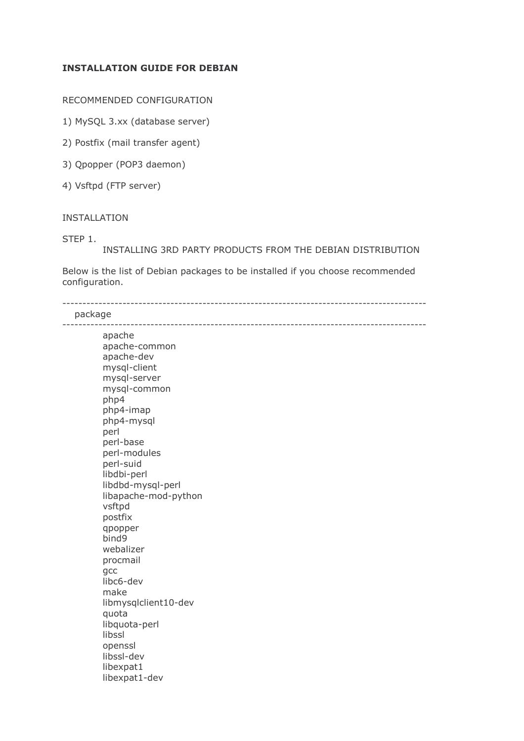# **INSTALLATION GUIDE FOR DEBIAN**

RECOMMENDED CONFIGURATION

1) MySQL 3.xx (database server)

2) Postfix (mail transfer agent)

3) Qpopper (POP3 daemon)

4) Vsftpd (FTP server)

#### INSTALLATION

STEP 1.

INSTALLING 3RD PARTY PRODUCTS FROM THE DEBIAN DISTRIBUTION

Below is the list of Debian packages to be installed if you choose recommended configuration.

5555555555555555555555555555555555555555555555555555555555555555555555555555555555555555555

package

| apache               |
|----------------------|
| apache-common        |
| apache-dev           |
| mysql-client         |
| mysql-server         |
| mysql-common         |
| php4                 |
| php4-imap            |
| php4-mysql<br>perl   |
| perl-base            |
| perl-modules         |
| perl-suid            |
| libdbi-perl          |
| libdbd-mysql-perl    |
| libapache-mod-python |
| vsftpd               |
| postfix              |
| qpopper              |
| bind9                |
| webalizer            |
| procmail             |
| gcc                  |
| libc6-dev            |
| make                 |
| libmysqlclient10-dev |
| quota                |
| libquota-perl        |
| libssl               |
| openssl              |
| libssl-dev           |
| libexpat1            |
| libexpat1-dev        |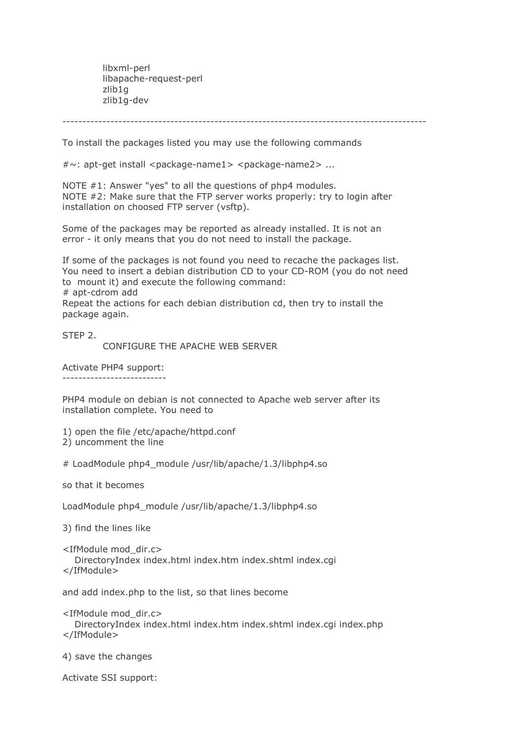libxml-perl libapache-request-perl zlib1q zlib1g-dev

To install the packages listed you may use the following commands

 $\#\sim$ : apt-get install <package-name1> <package-name2> ...

NOTE #1: Answer "yes" to all the questions of php4 modules. NOTE #2: Make sure that the FTP server works properly: try to login after installation on choosed FTP server (vsftp).

Some of the packages may be reported as already installed. It is not an error - it only means that you do not need to install the package.

If some of the packages is not found you need to recache the packages list. You need to insert a debian distribution CD to your CD-ROM (you do not need to mount it) and execute the following command: # apt-cdrom add

Repeat the actions for each debian distribution cd, then try to install the package again.

STEP 2.

CONFIGURE THE APACHE WEB SERVER

Activate PHP4 support:

PHP4 module on debian is not connected to Apache web server after its installation complete. You need to

1) open the file /etc/apache/httpd.conf

2) uncomment the line

# LoadModule php4\_module /usr/lib/apache/1.3/libphp4.so

so that it becomes

LoadModule php4\_module /usr/lib/apache/1.3/libphp4.so

3) find the lines like

<IfModule mod\_dir.c>

DirectoryIndex index.html index.htm index.shtml index.cgi </IfModule>

and add index.php to the list, so that lines become

<IfModule mod dir.c>

DirectoryIndex index.html index.htm index.shtml index.cqi index.php </IfModule>

4) save the changes

Activate SSI support: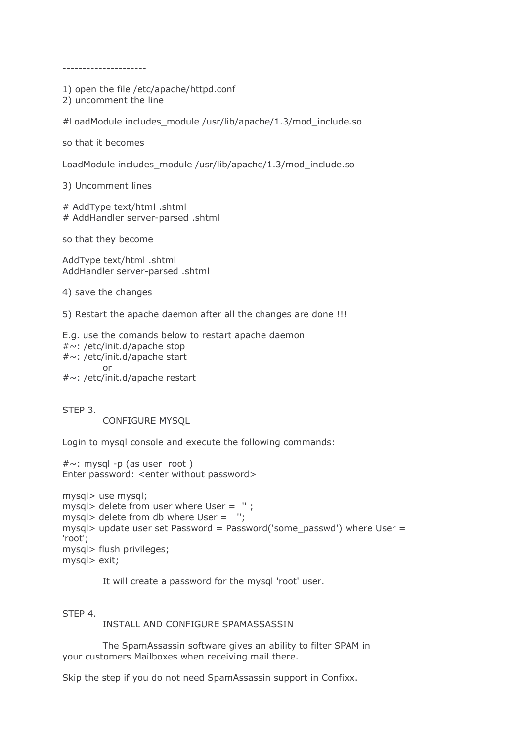1) open the file /etc/apache/httpd.conf

2) uncomment the line

#LoadModule includes module /usr/lib/apache/1.3/mod include.so

so that it becomes

LoadModule includes\_module /usr/lib/apache/1.3/mod\_include.so

3) Uncomment lines

# AddType text/html .shtml # AddHandler server-parsed .shtml

so that they become

AddType text/html .shtml AddHandler server-parsed .shtml

4) save the changes

5) Restart the apache daemon after all the changes are done !!!

E.g. use the comands below to restart apache daemon #~: /etc/init.d/apache stop #~: /etc/init.d/apache start or

#~: /etc/init.d/apache restart

STEP 3.

**CONFIGURE MYSOL** 

Login to mysql console and execute the following commands:

 $\# \sim$ : mysql -p (as user root) Enter password: < enter without password>

```
mysql> use mysql;
mysql> delete from user where User = ";
mysql> delete from db where User = ";
mysql> update user set Password = Password('some_passwd') where User =
'root';
mysql> flush privileges;
mysql> exit;
```
It will create a password for the mysql 'root' user.

STEP 4.

INSTALL AND CONFIGURE SPAMASSASSIN

The SpamAssassin software gives an ability to filter SPAM in your customers Mailboxes when receiving mail there.

Skip the step if you do not need SpamAssassin support in Confixx.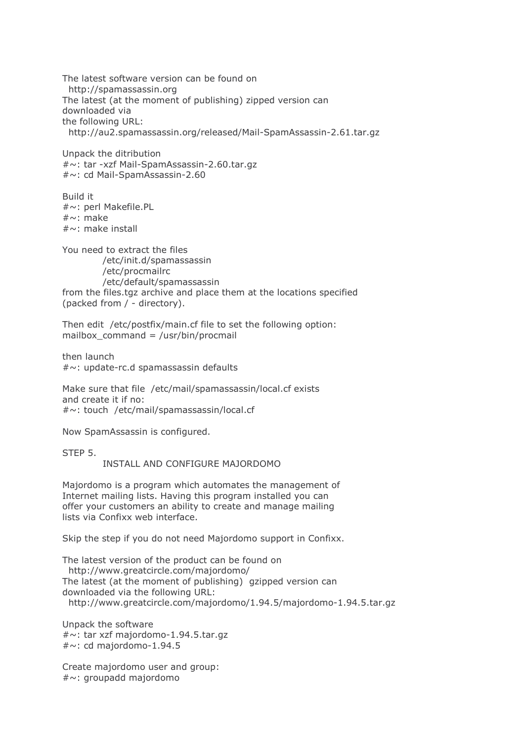The latest software version can be found on http://spamassassin.org The latest (at the moment of publishing) zipped version can downloaded via the following URL: http://au2.spamassassin.org/released/Mail-SpamAssassin-2.61.tar.gz

Unpack the ditribution #~: tar -xzf Mail-SpamAssassin-2.60.tar.gz #~: cd Mail-SpamAssassin-2.60

Build it #~: perl Makefile.PL  $\#\sim$ : make  $\#\sim$ : make install

You need to extract the files /etc/init.d/spamassassin /etc/procmailrc /etc/default/spamassassin from the files.tgz archive and place them at the locations specified (packed from / - directory).

Then edit /etc/postfix/main.cf file to set the following option: mailbox command = /usr/bin/procmail

then launch  $\# \sim$ : update-rc.d spamassassin defaults

Make sure that file /etc/mail/spamassassin/local.cf exists and create it if no: #~: touch /etc/mail/spamassassin/local.cf

Now SpamAssassin is configured.

STFP<sub>5</sub>

INSTALL AND CONFIGURE MAJORDOMO

Majordomo is a program which automates the management of Internet mailing lists. Having this program installed you can offer your customers an ability to create and manage mailing lists via Confixx web interface.

Skip the step if you do not need Majordomo support in Confixx.

The latest version of the product can be found on http://www.greatcircle.com/majordomo/ The latest (at the moment of publishing) gzipped version can downloaded via the following URL: http://www.greatcircle.com/majordomo/1.94.5/majordomo-1.94.5.tar.gz

Unpack the software  $\# \sim$ : tar xzf majordomo-1.94.5.tar.gz  $# \sim$ : cd majordomo-1.94.5

Create majordomo user and group: #~: groupadd majordomo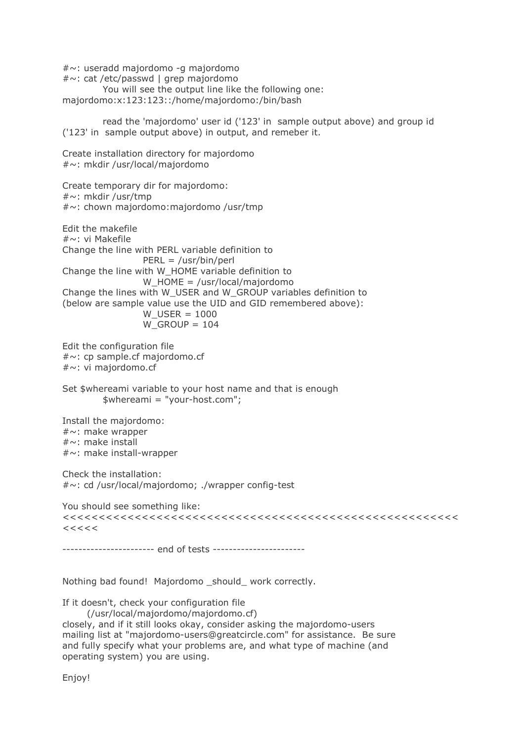#~: useradd majordomo -g majordomo #~: cat /etc/passwd | grep majordomo You will see the output line like the following one: majordomo:x:123:123::/home/majordomo:/bin/bash read the 'majordomo' user id ('123' in sample output above) and group id ('123' in sample output above) in output, and remeber it. Create installation directory for majordomo #~: mkdir /usr/local/majordomo Create temporary dir for majordomo: #~: mkdir /usr/tmp #~: chown majordomo:majordomo /usr/tmp Edit the makefile #~: vi Makefile Change the line with PERL variable definition to  $PERL = /usr/bin/perl$ Change the line with W\_HOME variable definition to  $W_HOME = \text{/usr/local/major}$ Change the lines with W USER and W GROUP variables definition to (below are sample value use the UID and GID remembered above): W USER =  $1000$ W GROUP =  $104$ Edit the configuration file  $\# \sim$ : cp sample.cf majordomo.cf  $\#\sim$ : vi majordomo.cf Set \$whereami variable to your host name and that is enough  $$whereami = "your-host.com";$ Install the majordomo:  $\#\sim$ : make wrapper  $\#\sim$ : make install #~: make install-wrapper Check the installation: #~: cd /usr/local/majordomo; ./wrapper config-test You should see something like:  $<<<<$ ---------------------- end of tests ----------------------Nothing bad found! Majordomo \_should\_ work correctly. If it doesn't, check your configuration file

(/usr/local/majordomo/majordomo.cf) closely, and if it still looks okay, consider asking the majordomo-users

mailing list at "majordomo-users@greatcircle.com" for assistance. Be sure and fully specify what your problems are, and what type of machine (and operating system) you are using.

Enjoy!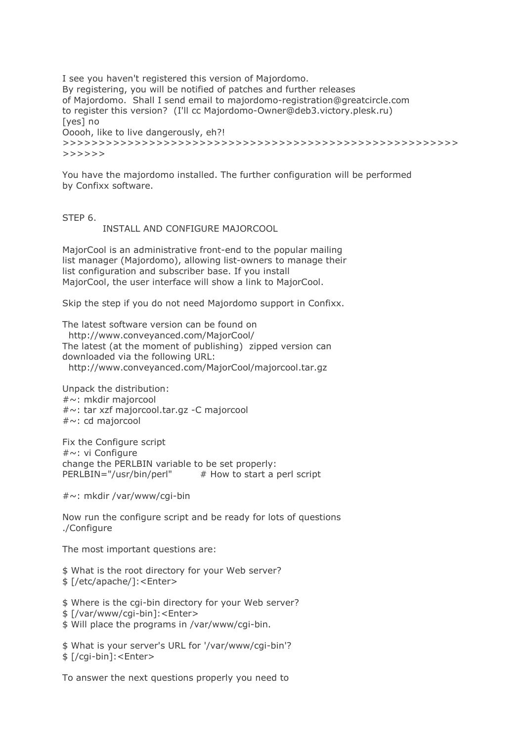I see you haven't registered this version of Majordomo. By registering, you will be notified of patches and further releases of Majordomo. Shall I send email to majordomo-registration@greatcircle.com to register this version? (I'll cc Majordomo-Owner@deb3.victory.plesk.ru) [yes] no Ooooh, like to live dangerously, eh?!  $>>>>>>>$ 

You have the majordomo installed. The further configuration will be performed by Confixx software.

STEP 6.

INSTALL AND CONFIGURE MAJORCOOL

MajorCool is an administrative front-end to the popular mailing list manager (Majordomo), allowing list-owners to manage their list configuration and subscriber base. If you install MajorCool, the user interface will show a link to MajorCool.

Skip the step if you do not need Majordomo support in Confixx.

The latest software version can be found on http://www.conveyanced.com/MajorCool/ The latest (at the moment of publishing) zipped version can downloaded via the following URL: http://www.conveyanced.com/MajorCool/majorcool.tar.gz

Unpack the distribution:  $\#\sim$ : mkdir majorcool #~: tar xzf majorcool.tar.gz -C majorcool #~: cd majorcool

Fix the Configure script #~: vi Configure change the PERLBIN variable to be set properly: PERLBIN="/usr/bin/perl"  $#$  How to start a perl script

#~: mkdir /var/www/cqi-bin

Now run the configure script and be ready for lots of questions ./Configure

The most important questions are:

\$ What is the root directory for your Web server? \$ [/etc/apache/]:<Enter>

\$ Where is the cai-bin directory for your Web server?

\$ [/var/www/cqi-bin]:<Enter>

\$ Will place the programs in /var/www/cgi-bin.

\$ What is your server's URL for '/var/www/cgi-bin'? \$ [/cqi-bin]:<Enter>

To answer the next questions properly you need to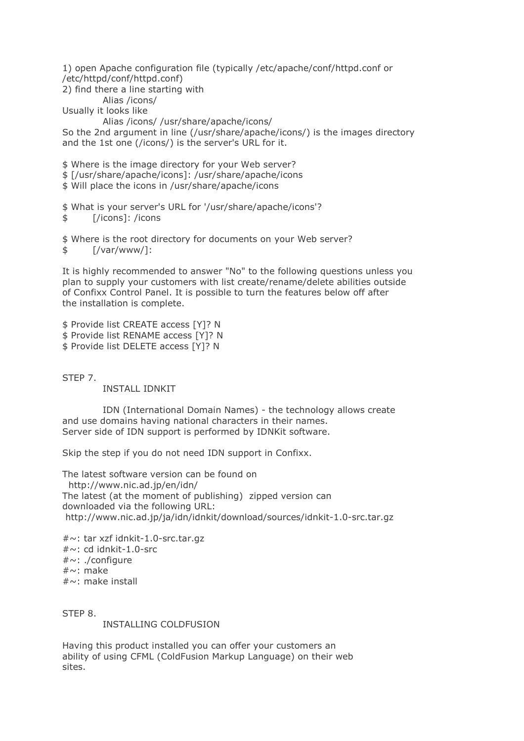1) open Apache configuration file (typically /etc/apache/conf/httpd.conf or /etc/httpd/conf/httpd.conf) 2) find there a line starting with

Alias /icons/ Usually it looks like

Alias /icons/ /usr/share/apache/icons/

So the 2nd argument in line (/usr/share/apache/icons/) is the images directory and the 1st one (/icons/) is the server's URL for it.

\$ Where is the image directory for your Web server? \$ [/usr/share/apache/icons]: /usr/share/apache/icons \$ Will place the icons in /usr/share/apache/icons

\$ What is your server's URL for '/usr/share/apache/icons'? [/icons]: /icons \$

\$ Where is the root directory for documents on your Web server?  $\lceil$ /var/www/1:  $\mathbf{\hat{z}}$ 

It is highly recommended to answer "No" to the following questions unless you plan to supply your customers with list create/rename/delete abilities outside of Confixx Control Panel. It is possible to turn the features below off after the installation is complete.

\$ Provide list CREATE access [Y]? N \$ Provide list RENAME access [Y]? N \$ Provide list DELETE access [Y]? N

STEP 7.

**INSTALL IDNKIT** 

IDN (International Domain Names) - the technology allows create and use domains having national characters in their names. Server side of IDN support is performed by IDNKit software.

Skip the step if you do not need IDN support in Confixx.

The latest software version can be found on http://www.nic.ad.jp/en/idn/ The latest (at the moment of publishing) zipped version can downloaded via the following URL: http://www.nic.ad.jp/ja/idn/idnkit/download/sources/idnkit-1.0-src.tar.qz

#~: tar xzf idnkit-1.0-src.tar.gz  $# \sim$ : cd idnkit-1.0-src  $\#\sim$ : ./configure  $\#\sim$ : make  $\#\sim$ : make install

STEP 8.

**INSTALLING COLDFUSION** 

Having this product installed you can offer your customers an ability of using CFML (ColdFusion Markup Language) on their web sites.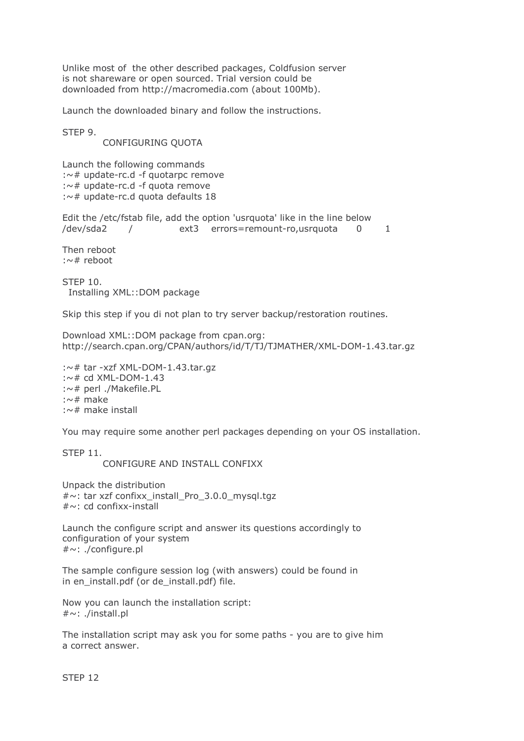Unlike most of the other described packages, Coldfusion server is not shareware or open sourced. Trial version could be downloaded from http://macromedia.com (about 100Mb).

Launch the downloaded binary and follow the instructions.

STFP 9.

CONFIGURING OUOTA

Launch the following commands :~# update-rc.d -f quotarpc remove :~# update-rc.d -f quota remove :~# update-rc.d quota defaults 18

Edit the /etc/fstab file, add the option 'usrquota' like in the line below ext3 errors=remount-ro,usrquota 0 /dev/sda2  $\mathbf{1}$  $\sqrt{2}$ 

Then reboot  $:\sim\#$  reboot

**STEP 10.** Installing XML::DOM package

Skip this step if you di not plan to try server backup/restoration routines.

Download XML::DOM package from cpan.org: http://search.cpan.org/CPAN/authors/id/T/TJ/TJMATHER/XML-DOM-1.43.tar.qz

```
:\sim# tar -xzf XML-DOM-1.43.tar.gz
:\sim# cd XML-DOM-1.43
:~# perl ./Makefile.PL
:\sim\# make
:\sim# make install
```
You may require some another perl packages depending on your OS installation.

STFP<sub>11</sub>

CONFIGURE AND INSTALL CONFIXX

Unpack the distribution  $\# \sim$ : tar xzf confixx install Pro 3.0.0 mysql.tqz  $\#\sim$ : cd confixx-install

Launch the configure script and answer its questions accordingly to configuration of your system  $\#\sim$ : ./configure.pl

The sample configure session log (with answers) could be found in in en\_install.pdf (or de\_install.pdf) file.

Now you can launch the installation script:  $\#\sim$ : ./install.pl

The installation script may ask you for some paths - you are to give him a correct answer.